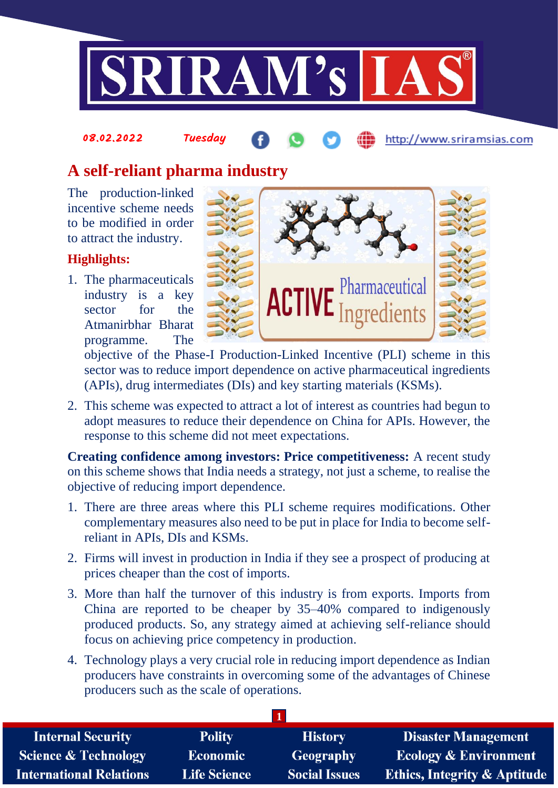

# 08.02.2022 Tuesday

# **A self-reliant pharma industry**

The production-linked incentive scheme needs to be modified in order to attract the industry.

### **Highlights:**

1. The pharmaceuticals industry is a key sector for the Atmanirbhar Bharat programme. The



http://www.sriramsias.com

objective of the Phase-I Production-Linked Incentive (PLI) scheme in this sector was to reduce import dependence on active pharmaceutical ingredients (APIs), drug intermediates (DIs) and key starting materials (KSMs).

2. This scheme was expected to attract a lot of interest as countries had begun to adopt measures to reduce their dependence on China for APIs. However, the response to this scheme did not meet expectations.

**Creating confidence among investors: Price competitiveness:** A recent study on this scheme shows that India needs a strategy, not just a scheme, to realise the objective of reducing import dependence.

- 1. There are three areas where this PLI scheme requires modifications. Other complementary measures also need to be put in place for India to become selfreliant in APIs, DIs and KSMs.
- 2. Firms will invest in production in India if they see a prospect of producing at prices cheaper than the cost of imports.
- 3. More than half the turnover of this industry is from exports. Imports from China are reported to be cheaper by 35–40% compared to indigenously produced products. So, any strategy aimed at achieving self-reliance should focus on achieving price competency in production.
- 4. Technology plays a very crucial role in reducing import dependence as Indian producers have constraints in overcoming some of the advantages of Chinese producers such as the scale of operations.

| <b>Internal Security</b>        | <b>Polity</b>       | <b>History</b>       | <b>Disaster Management</b>              |  |  |
|---------------------------------|---------------------|----------------------|-----------------------------------------|--|--|
| <b>Science &amp; Technology</b> | <b>Economic</b>     | Geography            | <b>Ecology &amp; Environment</b>        |  |  |
| <b>International Relations</b>  | <b>Life Science</b> | <b>Social Issues</b> | <b>Ethics, Integrity &amp; Aptitude</b> |  |  |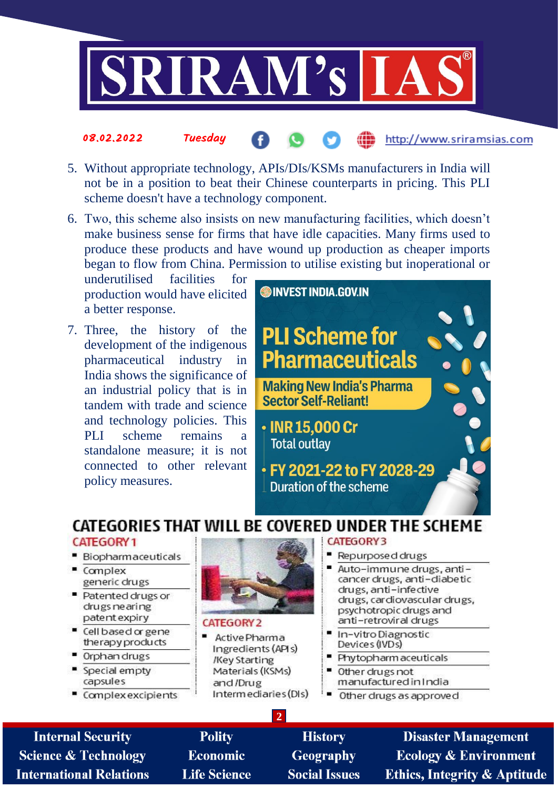

# 5. Without appropriate technology, APIs/DIs/KSMs manufacturers in India will not be in a position to beat their Chinese counterparts in pricing. This PLI

6. Two, this scheme also insists on new manufacturing facilities, which doesn't make business sense for firms that have idle capacities. Many firms used to produce these products and have wound up production as cheaper imports began to flow from China. Permission to utilise existing but inoperational or

facilities underutilised for production would have elicited a better response.

**Tuesdau** 

scheme doesn't have a technology component.

08.02.2022

7. Three, the history of the development of the indigenous pharmaceutical industry in India shows the significance of an industrial policy that is in tandem with trade and science and technology policies. This **PLI** scheme remains a standalone measure: it is not connected to other relevant policy measures.



# CATEGORIES THAT WILL BE COVERED UNDER THE SCHEME

#### CATEGORY<sub>1</sub>

- Biopharmaceuticals
- Complex generic drugs
- Patented drugs or drugs ne aring patent expiry
- " Cell based or gene therapy products
- Orphandrugs
- Special empty capsules
- Complex excipients



#### CATEGORY<sub>2</sub>

Active Pharma Ingredients (APIs) /Key Starting Materials (KSMs) and /Drug Intermediaries (DIs)

 $\overline{2}$ 

#### **CATEGORY3**

- Repurposed drugs
- Auto-immune drugs, anticancer drugs, anti-diabetic drugs, anti-infective drugs, cardiovascular drugs, psychotropic drugs and anti-retroviral drugs
- In-vitro Diagnostic Devices (IVDs)
- Phytopharm aceuticals
- Other drugs not manufactured in India
- Other drugs as approved

**Internal Security Science & Technology International Relations** 

**Polity Economic Life Science** 

**History Geography Social Issues** 

**Disaster Management Ecology & Environment Ethics, Integrity & Aptitude** 

http://www.sriramsias.com